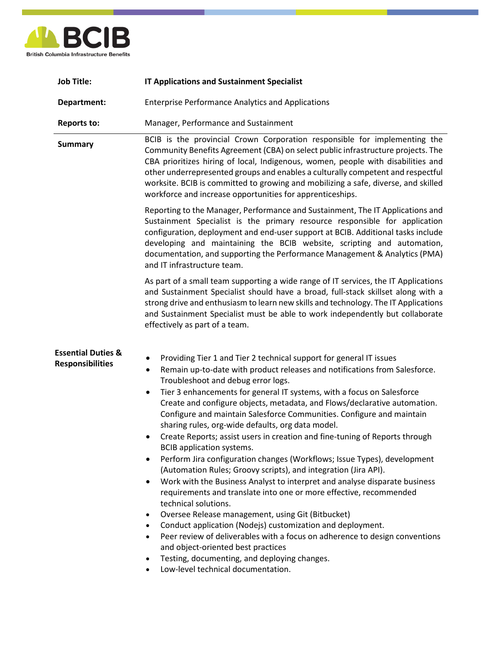

| <b>Job Title:</b>                                        | <b>IT Applications and Sustainment Specialist</b>                                                                                                                                                                                                                                                                                                                                                                                                                                                                                                                                                                                                                                                                                                                                                                                                                                                                                                                                                                                                                                                                                                                                                                                                                                                                                             |
|----------------------------------------------------------|-----------------------------------------------------------------------------------------------------------------------------------------------------------------------------------------------------------------------------------------------------------------------------------------------------------------------------------------------------------------------------------------------------------------------------------------------------------------------------------------------------------------------------------------------------------------------------------------------------------------------------------------------------------------------------------------------------------------------------------------------------------------------------------------------------------------------------------------------------------------------------------------------------------------------------------------------------------------------------------------------------------------------------------------------------------------------------------------------------------------------------------------------------------------------------------------------------------------------------------------------------------------------------------------------------------------------------------------------|
| Department:                                              | <b>Enterprise Performance Analytics and Applications</b>                                                                                                                                                                                                                                                                                                                                                                                                                                                                                                                                                                                                                                                                                                                                                                                                                                                                                                                                                                                                                                                                                                                                                                                                                                                                                      |
| <b>Reports to:</b>                                       | Manager, Performance and Sustainment                                                                                                                                                                                                                                                                                                                                                                                                                                                                                                                                                                                                                                                                                                                                                                                                                                                                                                                                                                                                                                                                                                                                                                                                                                                                                                          |
| <b>Summary</b>                                           | BCIB is the provincial Crown Corporation responsible for implementing the<br>Community Benefits Agreement (CBA) on select public infrastructure projects. The<br>CBA prioritizes hiring of local, Indigenous, women, people with disabilities and<br>other underrepresented groups and enables a culturally competent and respectful<br>worksite. BCIB is committed to growing and mobilizing a safe, diverse, and skilled<br>workforce and increase opportunities for apprenticeships.                                                                                                                                                                                                                                                                                                                                                                                                                                                                                                                                                                                                                                                                                                                                                                                                                                                       |
|                                                          | Reporting to the Manager, Performance and Sustainment, The IT Applications and<br>Sustainment Specialist is the primary resource responsible for application<br>configuration, deployment and end-user support at BCIB. Additional tasks include<br>developing and maintaining the BCIB website, scripting and automation,<br>documentation, and supporting the Performance Management & Analytics (PMA)<br>and IT infrastructure team.                                                                                                                                                                                                                                                                                                                                                                                                                                                                                                                                                                                                                                                                                                                                                                                                                                                                                                       |
|                                                          | As part of a small team supporting a wide range of IT services, the IT Applications<br>and Sustainment Specialist should have a broad, full-stack skillset along with a<br>strong drive and enthusiasm to learn new skills and technology. The IT Applications<br>and Sustainment Specialist must be able to work independently but collaborate<br>effectively as part of a team.                                                                                                                                                                                                                                                                                                                                                                                                                                                                                                                                                                                                                                                                                                                                                                                                                                                                                                                                                             |
| <b>Essential Duties &amp;</b><br><b>Responsibilities</b> | Providing Tier 1 and Tier 2 technical support for general IT issues<br>٠<br>Remain up-to-date with product releases and notifications from Salesforce.<br>٠<br>Troubleshoot and debug error logs.<br>Tier 3 enhancements for general IT systems, with a focus on Salesforce<br>$\bullet$<br>Create and configure objects, metadata, and Flows/declarative automation.<br>Configure and maintain Salesforce Communities. Configure and maintain<br>sharing rules, org-wide defaults, org data model.<br>Create Reports; assist users in creation and fine-tuning of Reports through<br><b>BCIB</b> application systems.<br>Perform Jira configuration changes (Workflows; Issue Types), development<br>٠<br>(Automation Rules; Groovy scripts), and integration (Jira API).<br>Work with the Business Analyst to interpret and analyse disparate business<br>٠<br>requirements and translate into one or more effective, recommended<br>technical solutions.<br>Oversee Release management, using Git (Bitbucket)<br>$\bullet$<br>Conduct application (Nodejs) customization and deployment.<br>$\bullet$<br>Peer review of deliverables with a focus on adherence to design conventions<br>$\bullet$<br>and object-oriented best practices<br>Testing, documenting, and deploying changes.<br>$\bullet$<br>Low-level technical documentation. |